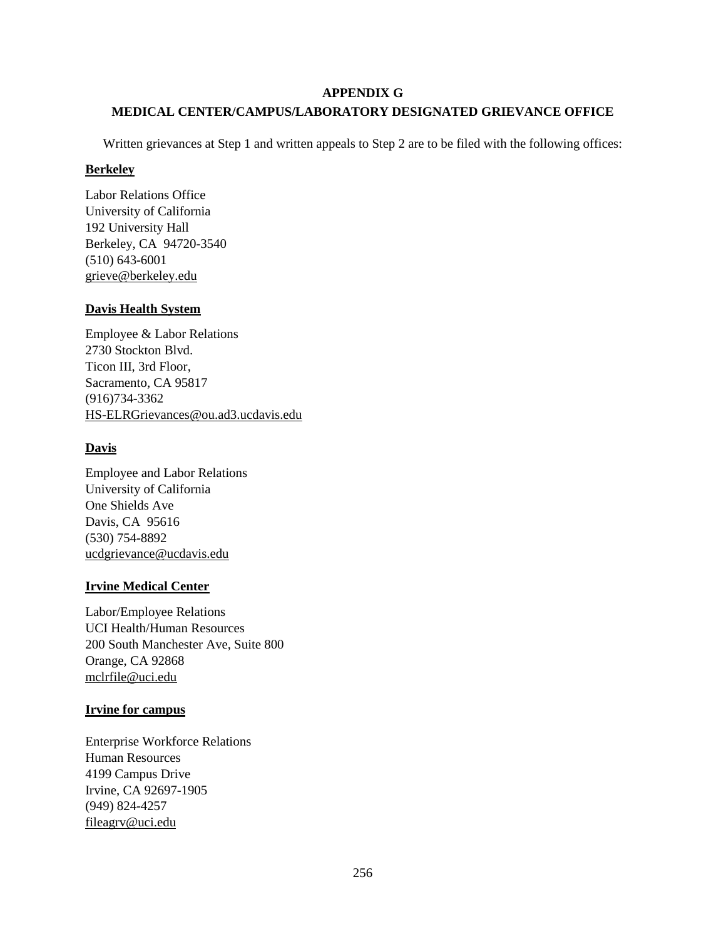#### **APPENDIX G**

## **MEDICAL CENTER/CAMPUS/LABORATORY DESIGNATED GRIEVANCE OFFICE**

Written grievances at Step 1 and written appeals to Step 2 are to be filed with the following offices:

#### **Berkeley**

Labor Relations Office University of California 192 University Hall Berkeley, CA 94720-3540 (510) 643-6001 [grieve@berkeley.edu](mailto:grieve@berkeley.edu)

#### **Davis Health System**

Employee & Labor Relations 2730 Stockton Blvd. Ticon III, 3rd Floor, Sacramento, CA 95817 (916)734-3362 HS-ELRGrievances@ou.ad3.ucdavis.edu

## **Davis**

Employee and Labor Relations University of California One Shields Ave Davis, CA 95616 (530) 754-8892 [ucdgrievance@ucdavis.edu](mailto:ucdgrievance@ucdavis.edu)

## **Irvine Medical Center**

Labor/Employee Relations UCI Health/Human Resources 200 South Manchester Ave, Suite 800 Orange, CA 92868 [mclrfile@uci.edu](mailto:mclrfile@uci.edu)

## **Irvine for campus**

Enterprise Workforce Relations Human Resources 4199 Campus Drive Irvine, CA 92697-1905 (949) 824-4257 [fileagrv@uci.edu](mailto:fileagrv@uci.edu)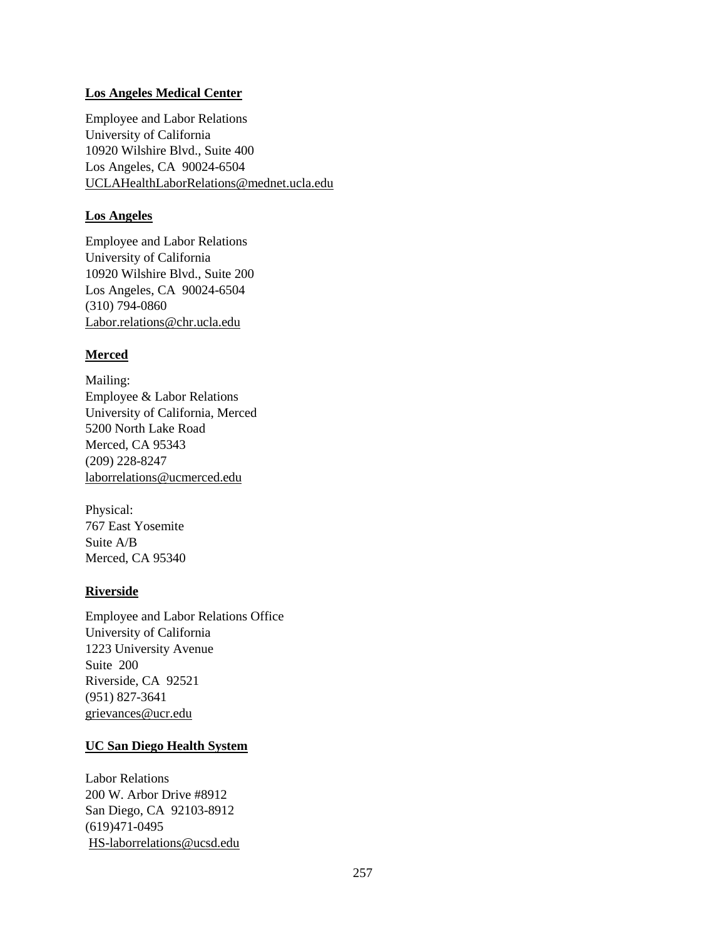#### **Los Angeles Medical Center**

Employee and Labor Relations University of California 10920 Wilshire Blvd., Suite 400 Los Angeles, CA 90024-6504 [UCLAHealthLaborRelations@mednet.ucla.edu](mailto:UCLAHealthLaborRelations@mednet.ucla.edu)

#### **Los Angeles**

Employee and Labor Relations University of California 10920 Wilshire Blvd., Suite 200 Los Angeles, CA 90024-6504 (310) 794-0860 [Labor.relations@chr.ucla.edu](mailto:Labor.relations@chr.ucla.edu)

## **Merced**

Mailing: Employee & Labor Relations University of California, Merced 5200 North Lake Road Merced, CA 95343 (209) 228-8247 [laborrelations@ucmerced.edu](mailto:laborrelations@ucmerced.edu)

Physical: 767 East Yosemite Suite A/B Merced, CA 95340

## **Riverside**

Employee and Labor Relations Office University of California 1223 University Avenue Suite 200 Riverside, CA 92521 (951) 827-3641 [grievances@ucr.edu](mailto:grievances@ucr.edu)

## **UC San Diego Health System**

Labor Relations 200 W. Arbor Drive #8912 San Diego, CA 92103-8912 (619)471-0495 [HS-laborrelations@ucsd.edu](mailto:HS-laborrelations@ucsd.edu)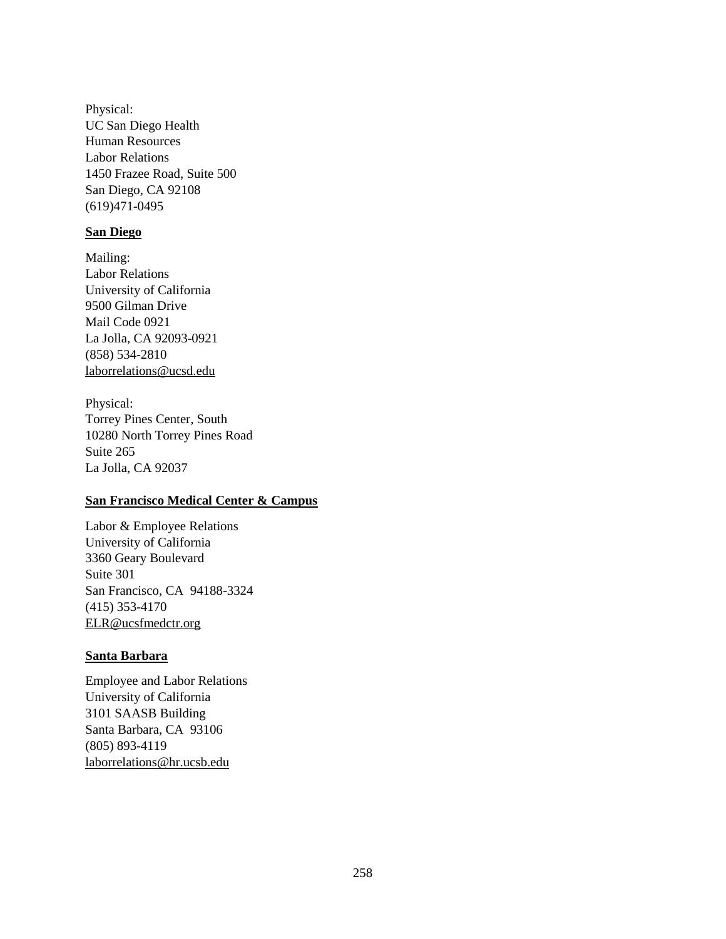Physical: UC San Diego Health Human Resources Labor Relations 1450 Frazee Road, Suite 500 San Diego, CA 92108 (619)471-0495

#### **San Diego**

Mailing: Labor Relations University of California 9500 Gilman Drive Mail Code 0921 La Jolla, CA 92093-0921 (858) 534-2810 [laborrelations@ucsd.edu](mailto:laborrelations@ucsd.edu)

Physical: Torrey Pines Center, South 10280 North Torrey Pines Road Suite 265 La Jolla, CA 92037

#### **San Francisco Medical Center & Campus**

Labor & Employee Relations University of California 3360 Geary Boulevard Suite 301 San Francisco, CA 94188-3324 (415) 353-4170 [ELR@ucsfmedctr.org](mailto:ELR@ucsfmedctr.org)

#### **Santa Barbara**

Employee and Labor Relations University of California 3101 SAASB Building Santa Barbara, CA 93106 (805) 893-4119 [laborrelations@hr.ucsb.edu](mailto:laborrelations@hr.ucsb.edu)